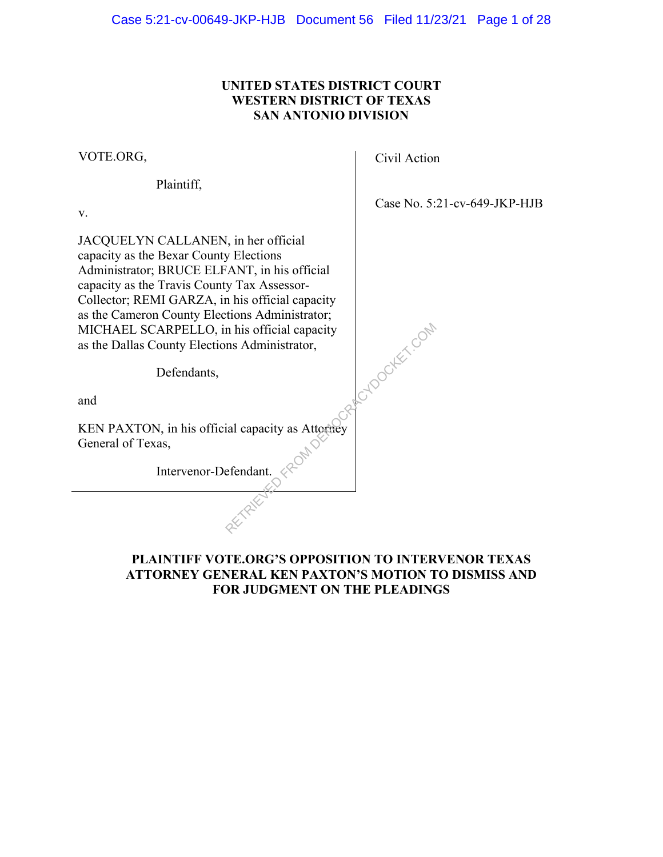### **UNITED STATES DISTRICT COURT WESTERN DISTRICT OF TEXAS SAN ANTONIO DIVISION**

VOTE.ORG,

Plaintiff,

v.

JACQUELYN CALLANEN, in her official capacity as the Bexar County Elections Administrator; BRUCE ELFANT, in his official capacity as the Travis County Tax Assessor-Collector; REMI GARZA, in his official capacity as the Cameron County Elections Administrator; MICHAEL SCARPELLO, in his official capacity as the Dallas County Elections Administrator,

Defendants,

and

KEN PAXTON, in his official capacity as Attorney General of Texas,

Intervenor-Defendant.

Civil Action

RETROCKET.COM

Case No. 5:21-cv-649-JKP-HJB

#### **PLAINTIFF VOTE.ORG'S OPPOSITION TO INTERVENOR TEXAS ATTORNEY GENERAL KEN PAXTON'S MOTION TO DISMISS AND FOR JUDGMENT ON THE PLEADINGS**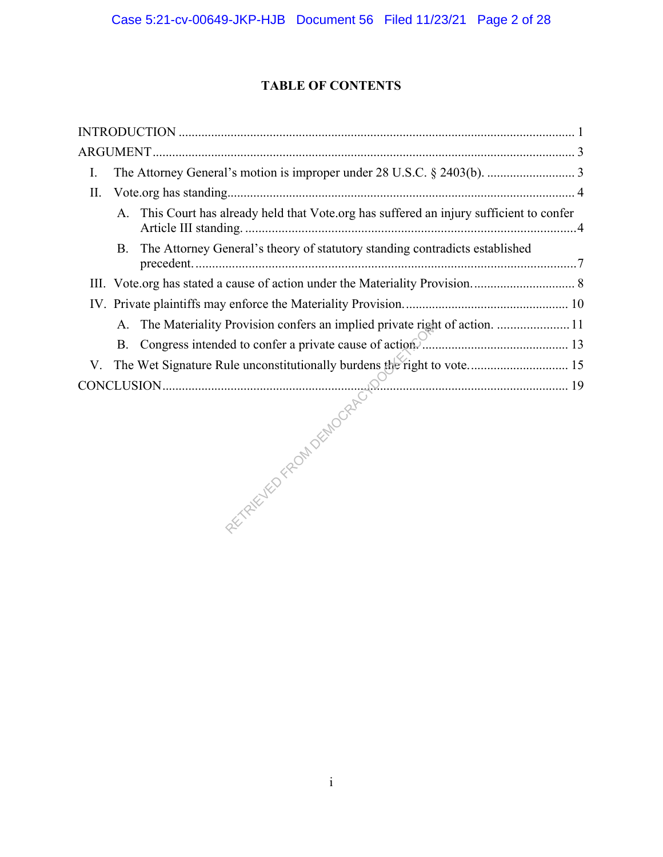## **TABLE OF CONTENTS**

| I.  |           |                                                                                          |  |
|-----|-----------|------------------------------------------------------------------------------------------|--|
| II. |           |                                                                                          |  |
|     |           | A. This Court has already held that Vote.org has suffered an injury sufficient to confer |  |
|     | <b>B.</b> | The Attorney General's theory of statutory standing contradicts established              |  |
|     |           |                                                                                          |  |
|     |           |                                                                                          |  |
|     | A.        | The Materiality Provision confers an implied private right of action.  11                |  |
|     | <b>B.</b> |                                                                                          |  |
| V.  |           | The Wet Signature Rule unconstitutionally burdens the right to vote 15                   |  |
|     |           |                                                                                          |  |
|     |           |                                                                                          |  |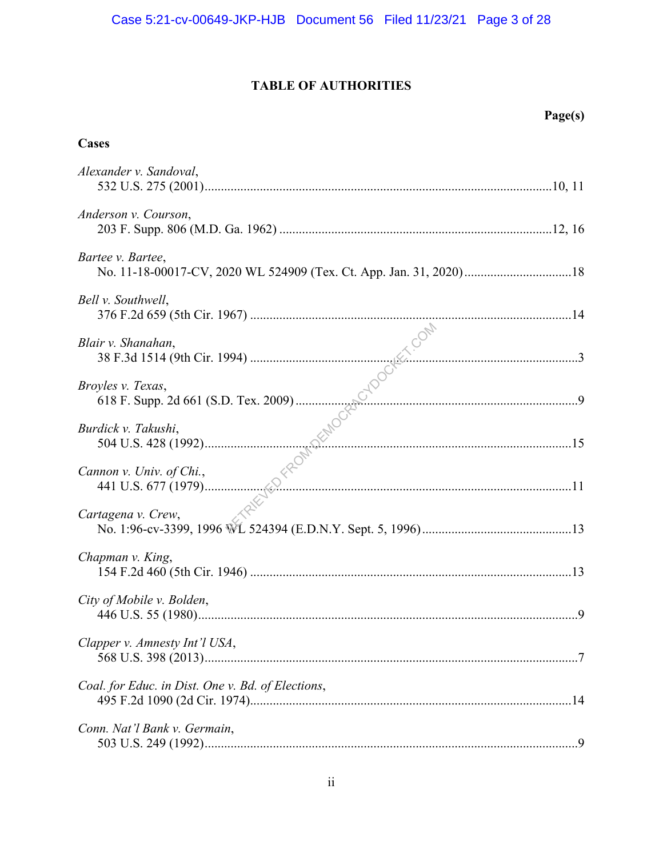## **TABLE OF AUTHORITIES**

## **Cases**

| Alexander v. Sandoval,                            |
|---------------------------------------------------|
| Anderson v. Courson,                              |
| Bartee v. Bartee,                                 |
| Bell v. Southwell,                                |
|                                                   |
|                                                   |
|                                                   |
|                                                   |
|                                                   |
| Chapman v. King,                                  |
| City of Mobile v. Bolden,                         |
| Clapper v. Amnesty Int'l USA,                     |
| Coal. for Educ. in Dist. One v. Bd. of Elections, |
| Conn. Nat'l Bank v. Germain,                      |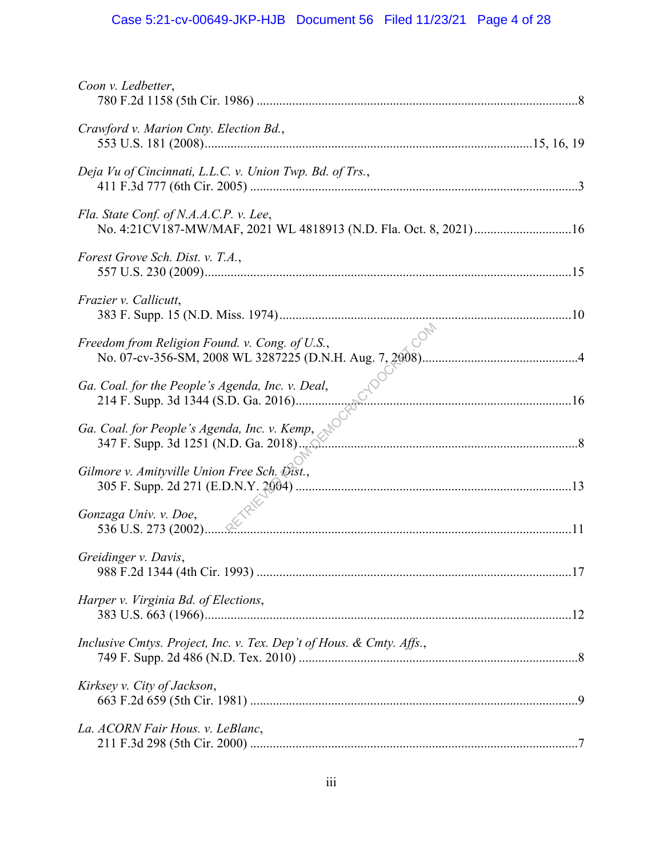# Case 5:21-cv-00649-JKP-HJB Document 56 Filed 11/23/21 Page 4 of 28

| Coon v. Ledbetter,                                                                                         |  |
|------------------------------------------------------------------------------------------------------------|--|
| Crawford v. Marion Cnty. Election Bd.,                                                                     |  |
| Deja Vu of Cincinnati, L.L.C. v. Union Twp. Bd. of Trs.,                                                   |  |
| Fla. State Conf. of N.A.A.C.P. v. Lee,<br>No. 4:21CV187-MW/MAF, 2021 WL 4818913 (N.D. Fla. Oct. 8, 2021)16 |  |
| Forest Grove Sch. Dist. v. T.A.,                                                                           |  |
| Frazier v. Callicutt,                                                                                      |  |
| Freedom from Religion Found. v. Cong. of U.S.,                                                             |  |
| Ga. Coal. for the People's Agenda, Inc. v. Deal,                                                           |  |
| Ga. Coal. for People's Agenda, Inc. v. Kemp,<br>347 F. Supp. 3d 1251 (N.D. Ga. 2018).                      |  |
| Gilmore v. Amityville Union Free Sch. Dist.,                                                               |  |
| Gonzaga Univ. v. Doe,                                                                                      |  |
| Greidinger v. Davis,                                                                                       |  |
| Harper v. Virginia Bd. of Elections,                                                                       |  |
| Inclusive Cmtys. Project, Inc. v. Tex. Dep't of Hous. & Cmty. Affs.,                                       |  |
| Kirksey v. City of Jackson,                                                                                |  |
| La. ACORN Fair Hous. v. LeBlanc,                                                                           |  |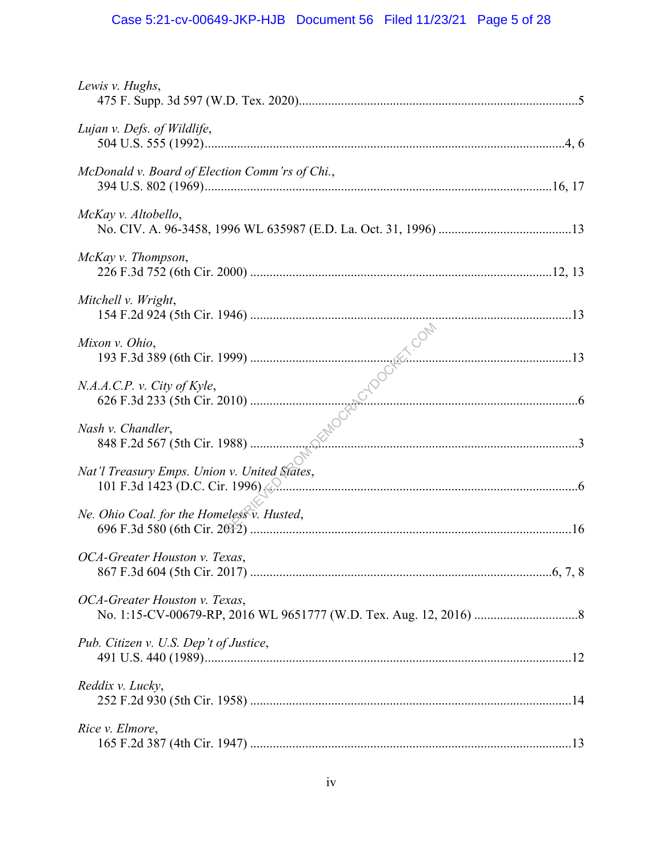# Case 5:21-cv-00649-JKP-HJB Document 56 Filed 11/23/21 Page 5 of 28

| Lewis v. Hughs,                                |  |
|------------------------------------------------|--|
| Lujan v. Defs. of Wildlife,                    |  |
| McDonald v. Board of Election Comm'rs of Chi., |  |
| McKay v. Altobello,                            |  |
| McKay v. Thompson,                             |  |
| Mitchell v. Wright,                            |  |
| Mixon v. Ohio,                                 |  |
| N.A.A.C.P. v. City of Kyle,                    |  |
| Nash v. Chandler,                              |  |
| Nat'l Treasury Emps. Union v. United States,   |  |
| Ne. Ohio Coal. for the Homeless v. Husted,     |  |
| OCA-Greater Houston v. Texas,                  |  |
| OCA-Greater Houston v. Texas,                  |  |
| Pub. Citizen v. U.S. Dep't of Justice,         |  |
| Reddix v. Lucky,                               |  |
| Rice v. Elmore,                                |  |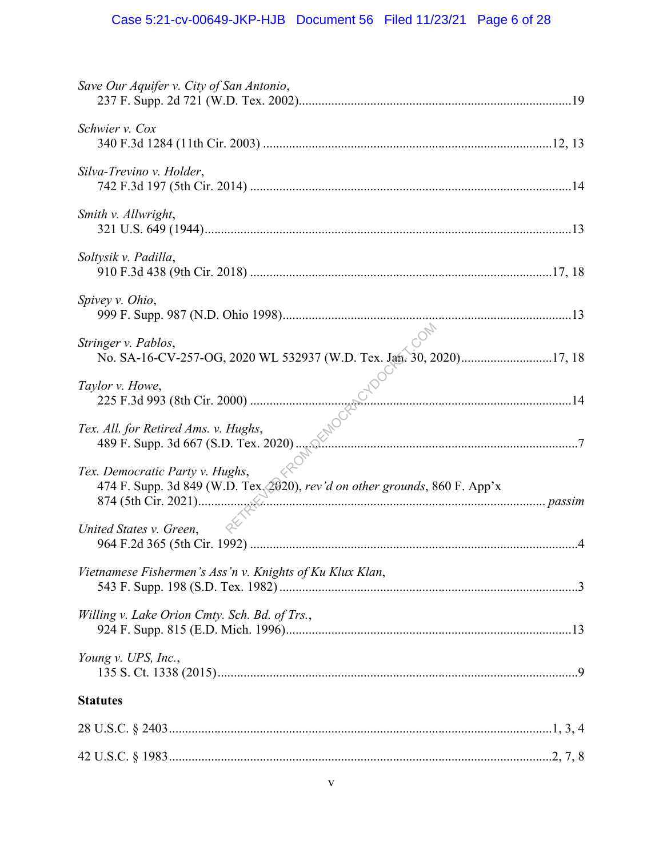# Case 5:21-cv-00649-JKP-HJB Document 56 Filed 11/23/21 Page 6 of 28

| Save Our Aquifer v. City of San Antonio,                                                                        |  |
|-----------------------------------------------------------------------------------------------------------------|--|
| Schwier v. Cox                                                                                                  |  |
| Silva-Trevino v. Holder,                                                                                        |  |
| Smith v. Allwright,                                                                                             |  |
| Soltysik v. Padilla,                                                                                            |  |
| Spivey v. Ohio,                                                                                                 |  |
| Stringer v. Pablos,<br>No. SA-16-CV-257-OG, 2020 WL 532937 (W.D. Tex. Jan. 30, 2020)17, 18                      |  |
| Taylor v. Howe,<br>$\mathbb{C}^{\vee}$ . 14                                                                     |  |
| All. for Retired Ams. v. Hughs,<br>489 F. Supp. 3d 667 (S.D. Tex. 2020)<br>Tex. All. for Retired Ams. v. Hughs, |  |
| Tex. Democratic Party v. Hughs,<br>474 F. Supp. 3d 849 (W.D. Tex. 2020), rev'd on other grounds, 860 F. App'x   |  |
| United States v. Green,                                                                                         |  |
| Vietnamese Fishermen's Ass'n v. Knights of Ku Klux Klan,                                                        |  |
| Willing v. Lake Orion Cmty. Sch. Bd. of Trs.,                                                                   |  |
| Young v. UPS, Inc.,                                                                                             |  |
| <b>Statutes</b>                                                                                                 |  |
|                                                                                                                 |  |
|                                                                                                                 |  |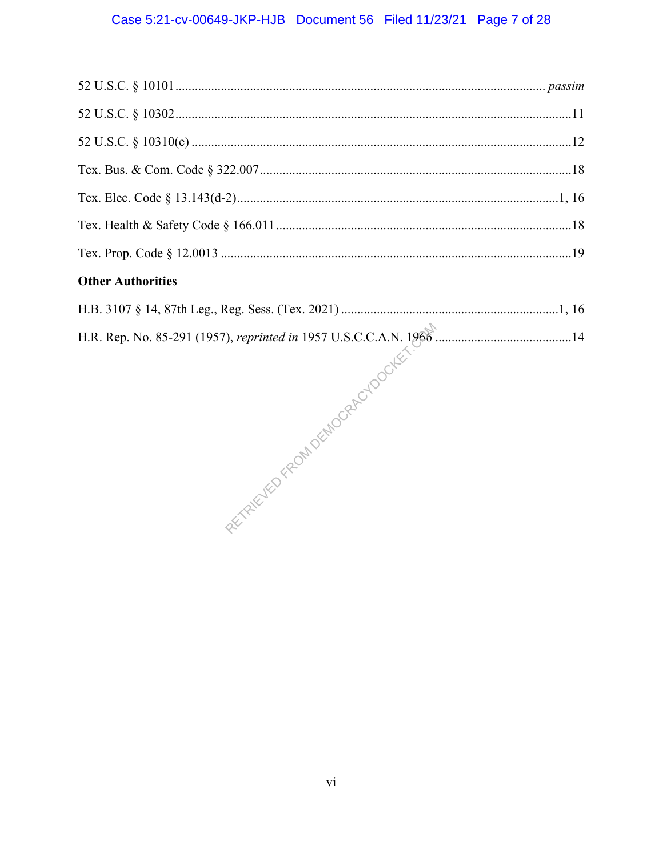## Case 5:21-cv-00649-JKP-HJB Document 56 Filed 11/23/21 Page 7 of 28

## **Other Authorities**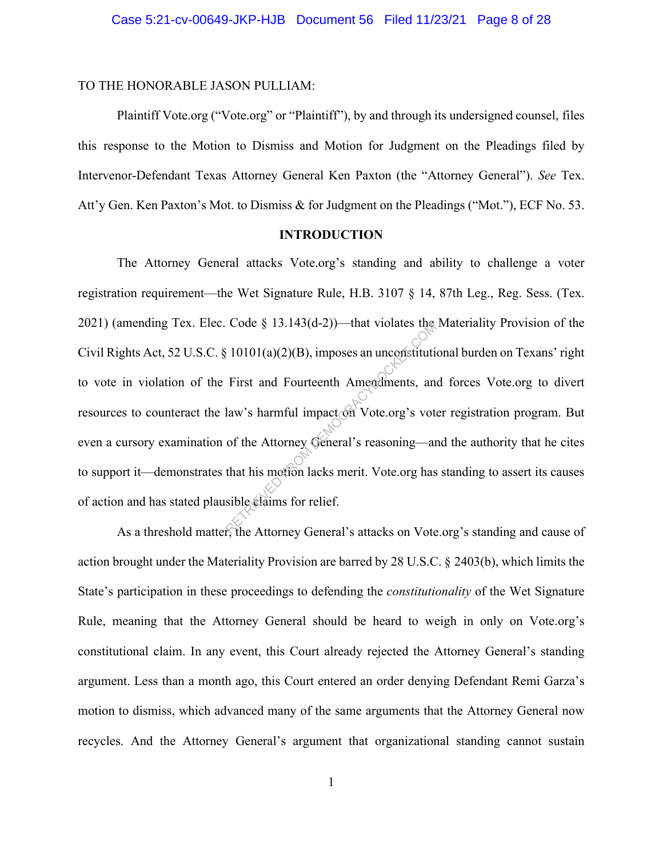#### TO THE HONORABLE JASON PULLIAM:

Plaintiff Vote.org ("Vote.org" or "Plaintiff"), by and through its undersigned counsel, files this response to the Motion to Dismiss and Motion for Judgment on the Pleadings filed by Intervenor-Defendant Texas Attorney General Ken Paxton (the "Attorney General"). *See* Tex. Att'y Gen. Ken Paxton's Mot. to Dismiss & for Judgment on the Pleadings ("Mot."), ECF No. 53.

#### **INTRODUCTION**

The Attorney General attacks Vote.org's standing and ability to challenge a voter registration requirement—the Wet Signature Rule, H.B. 3107 § 14, 87th Leg., Reg. Sess. (Tex. 2021) (amending Tex. Elec. Code § 13.143(d-2))—that violates the Materiality Provision of the Civil Rights Act, 52 U.S.C. § 10101(a)(2)(B), imposes an unconstitutional burden on Texans' right to vote in violation of the First and Fourteenth Amendments, and forces Vote.org to divert resources to counteract the law's harmful impact on Vote.org's voter registration program. But even a cursory examination of the Attorney General's reasoning—and the authority that he cites to support it—demonstrates that his motion lacks merit. Vote.org has standing to assert its causes of action and has stated plausible claims for relief. Code § 15.145(d-2))—that violates the<br>  $(3.10101(a)(2)(B),$  imposes an uncenstitutif<br>
First and Fourteenth Amendments, an<br>
law's harmful impact on Vote.org's vot<br>
of the Attorney General's reasoning—an<br>
that his motion lacks

As a threshold matter, the Attorney General's attacks on Vote.org's standing and cause of action brought under the Materiality Provision are barred by 28 U.S.C. § 2403(b), which limits the State's participation in these proceedings to defending the *constitutionality* of the Wet Signature Rule, meaning that the Attorney General should be heard to weigh in only on Vote.org's constitutional claim. In any event, this Court already rejected the Attorney General's standing argument. Less than a month ago, this Court entered an order denying Defendant Remi Garza's motion to dismiss, which advanced many of the same arguments that the Attorney General now recycles. And the Attorney General's argument that organizational standing cannot sustain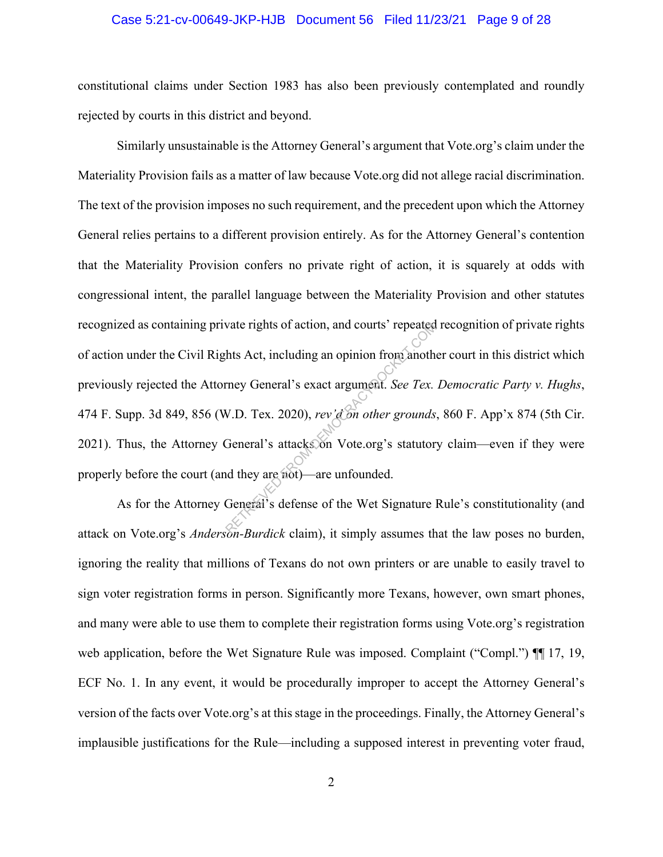#### Case 5:21-cv-00649-JKP-HJB Document 56 Filed 11/23/21 Page 9 of 28

constitutional claims under Section 1983 has also been previously contemplated and roundly rejected by courts in this district and beyond.

Similarly unsustainable is the Attorney General's argument that Vote.org's claim under the Materiality Provision fails as a matter of law because Vote.org did not allege racial discrimination. The text of the provision imposes no such requirement, and the precedent upon which the Attorney General relies pertains to a different provision entirely. As for the Attorney General's contention that the Materiality Provision confers no private right of action, it is squarely at odds with congressional intent, the parallel language between the Materiality Provision and other statutes recognized as containing private rights of action, and courts' repeated recognition of private rights of action under the Civil Rights Act, including an opinion from another court in this district which previously rejected the Attorney General's exact argument. *See Tex. Democratic Party v. Hughs*, 474 F. Supp. 3d 849, 856 (W.D. Tex. 2020), *rev'd on other grounds*, 860 F. App'x 874 (5th Cir. 2021). Thus, the Attorney General's attacks on Vote.org's statutory claim—even if they were properly before the court (and they are not)—are unfounded. wate rights of action, and courts' repeated<br>hts Act, including an opinion from anoth<br>rney General's exact argument. See Tex.<br>V.D. Tex. 2020), rev'd on other grounds<br>General's attacks on Vote.org's statutor<br>in they are not)

As for the Attorney General's defense of the Wet Signature Rule's constitutionality (and attack on Vote.org's *Anderson-Burdick* claim), it simply assumes that the law poses no burden, ignoring the reality that millions of Texans do not own printers or are unable to easily travel to sign voter registration forms in person. Significantly more Texans, however, own smart phones, and many were able to use them to complete their registration forms using Vote.org's registration web application, before the Wet Signature Rule was imposed. Complaint ("Compl.")  $\P$ [17, 19, ECF No. 1. In any event, it would be procedurally improper to accept the Attorney General's version of the facts over Vote.org's at this stage in the proceedings. Finally, the Attorney General's implausible justifications for the Rule—including a supposed interest in preventing voter fraud,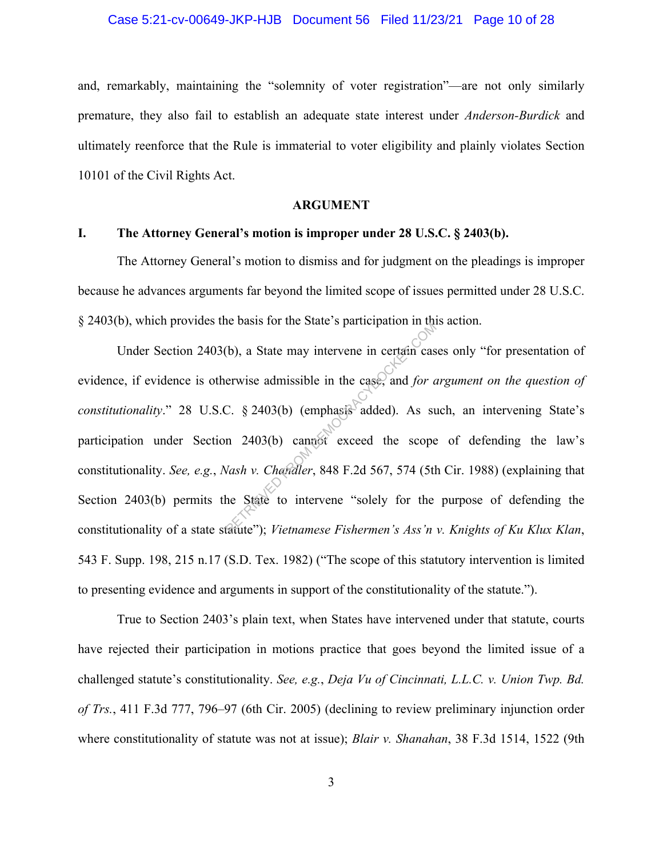#### Case 5:21-cv-00649-JKP-HJB Document 56 Filed 11/23/21 Page 10 of 28

and, remarkably, maintaining the "solemnity of voter registration"—are not only similarly premature, they also fail to establish an adequate state interest under *Anderson-Burdick* and ultimately reenforce that the Rule is immaterial to voter eligibility and plainly violates Section 10101 of the Civil Rights Act.

#### **ARGUMENT**

#### **I. The Attorney General's motion is improper under 28 U.S.C. § 2403(b).**

The Attorney General's motion to dismiss and for judgment on the pleadings is improper because he advances arguments far beyond the limited scope of issues permitted under 28 U.S.C. § 2403(b), which provides the basis for the State's participation in this action.

Under Section 2403(b), a State may intervene in certain cases only "for presentation of evidence, if evidence is otherwise admissible in the case, and *for argument on the question of constitutionality*." 28 U.S.C. § 2403(b) (emphasis added). As such, an intervening State's participation under Section 2403(b) cannot exceed the scope of defending the law's constitutionality. *See, e.g.*, *Nash v. Chandler*, 848 F.2d 567, 574 (5th Cir. 1988) (explaining that Section 2403(b) permits the State to intervene "solely for the purpose of defending the constitutionality of a state statute"); *Vietnamese Fishermen's Ass'n v. Knights of Ku Klux Klan*, 543 F. Supp. 198, 215 n.17 (S.D. Tex. 1982) ("The scope of this statutory intervention is limited to presenting evidence and arguments in support of the constitutionality of the statute."). (b), a State may intervene in certain case<br>erwise admissible in the case, and *for c*<br>C. § 2403(b) (emphasis added). As st<br>n 2403(b) cannot exceed the scope<br>Vash v. Chandler, 848 F.2d 567, 574 (5tl<br>he State to intervene "

True to Section 2403's plain text, when States have intervened under that statute, courts have rejected their participation in motions practice that goes beyond the limited issue of a challenged statute's constitutionality. *See, e.g.*, *Deja Vu of Cincinnati, L.L.C. v. Union Twp. Bd. of Trs.*, 411 F.3d 777, 796–97 (6th Cir. 2005) (declining to review preliminary injunction order where constitutionality of statute was not at issue); *Blair v. Shanahan*, 38 F.3d 1514, 1522 (9th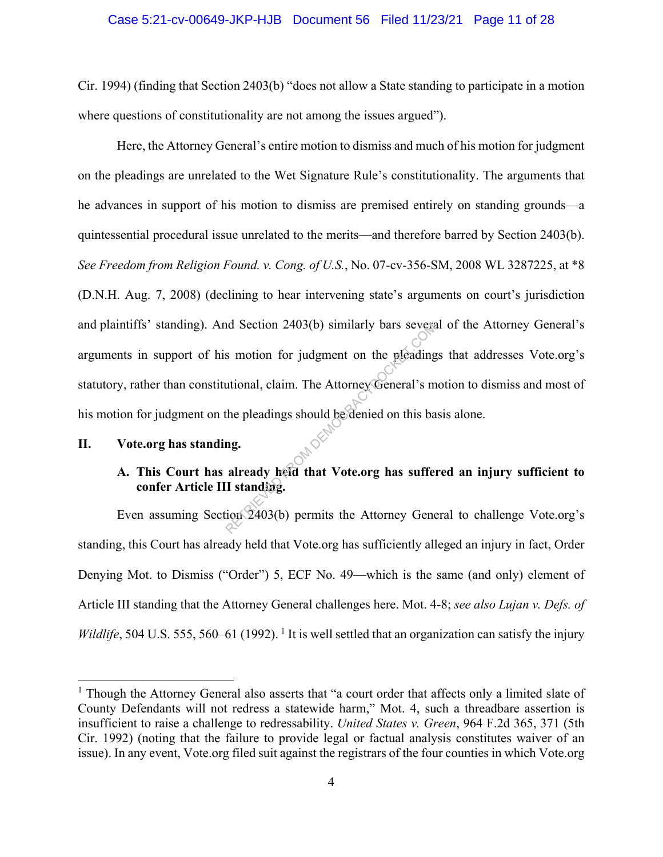#### Case 5:21-cv-00649-JKP-HJB Document 56 Filed 11/23/21 Page 11 of 28

Cir. 1994) (finding that Section 2403(b) "does not allow a State standing to participate in a motion where questions of constitutionality are not among the issues argued").

Here, the Attorney General's entire motion to dismiss and much of his motion for judgment on the pleadings are unrelated to the Wet Signature Rule's constitutionality. The arguments that he advances in support of his motion to dismiss are premised entirely on standing grounds—a quintessential procedural issue unrelated to the merits—and therefore barred by Section 2403(b). *See Freedom from Religion Found. v. Cong. of U.S.*, No. 07-cv-356-SM, 2008 WL 3287225, at \*8 (D.N.H. Aug. 7, 2008) (declining to hear intervening state's arguments on court's jurisdiction and plaintiffs' standing). And Section 2403(b) similarly bars several of the Attorney General's arguments in support of his motion for judgment on the pleadings that addresses Vote.org's statutory, rather than constitutional, claim. The Attorney General's motion to dismiss and most of his motion for judgment on the pleadings should be denied on this basis alone. nd Section 2403(b) similarly bars severed<br>s motion for judgment on the pleading<br>utional, claim. The Attorney General's m<br>the pleadings should be denied on this ba<br>ng.<br>already held that Vote.org has suffer<br>I standing.<br>ion 2

#### **II. Vote.org has standing.**

### **A. This Court has already held that Vote.org has suffered an injury sufficient to confer Article III standing.**

Even assuming Section 2403(b) permits the Attorney General to challenge Vote.org's standing, this Court has already held that Vote.org has sufficiently alleged an injury in fact, Order Denying Mot. to Dismiss ("Order") 5, ECF No. 49—which is the same (and only) element of Article III standing that the Attorney General challenges here. Mot. 4-8; *see also Lujan v. Defs. of Wildlife*, 504 U.S. 555, 560–61 (1992). <sup>1</sup> It is well settled that an organization can satisfy the injury

<sup>&</sup>lt;sup>1</sup> Though the Attorney General also asserts that "a court order that affects only a limited slate of County Defendants will not redress a statewide harm," Mot. 4, such a threadbare assertion is insufficient to raise a challenge to redressability. *United States v. Green*, 964 F.2d 365, 371 (5th Cir. 1992) (noting that the failure to provide legal or factual analysis constitutes waiver of an issue). In any event, Vote.org filed suit against the registrars of the four counties in which Vote.org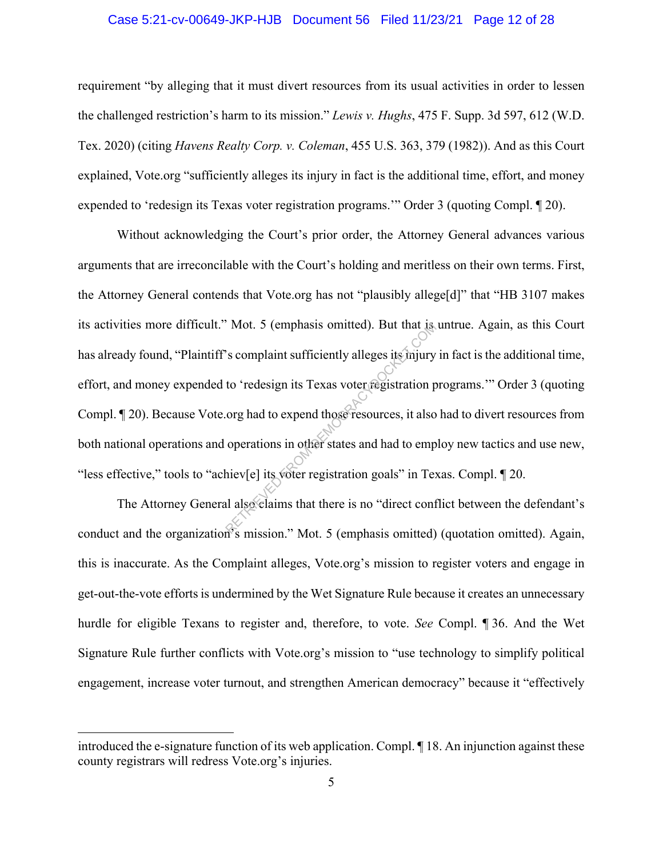#### Case 5:21-cv-00649-JKP-HJB Document 56 Filed 11/23/21 Page 12 of 28

requirement "by alleging that it must divert resources from its usual activities in order to lessen the challenged restriction's harm to its mission." *Lewis v. Hughs*, 475 F. Supp. 3d 597, 612 (W.D. Tex. 2020) (citing *Havens Realty Corp. v. Coleman*, 455 U.S. 363, 379 (1982)). And as this Court explained, Vote.org "sufficiently alleges its injury in fact is the additional time, effort, and money expended to 'redesign its Texas voter registration programs.'" Order 3 (quoting Compl. ¶ 20).

Without acknowledging the Court's prior order, the Attorney General advances various arguments that are irreconcilable with the Court's holding and meritless on their own terms. First, the Attorney General contends that Vote.org has not "plausibly allege[d]" that "HB 3107 makes its activities more difficult." Mot. 5 (emphasis omitted). But that is untrue. Again, as this Court has already found, "Plaintiff's complaint sufficiently alleges its injury in fact is the additional time, effort, and money expended to 'redesign its Texas voter registration programs.'" Order 3 (quoting Compl. ¶ 20). Because Vote.org had to expend those resources, it also had to divert resources from both national operations and operations in other states and had to employ new tactics and use new, "less effective," tools to "achiev[e] its voter registration goals" in Texas. Compl. ¶ 20. Mot. 5 (emphasis omitted). But that is<br>  $\degree$  s complaint sufficiently alleges its mjury<br>
to 'redesign its Texas voter registration p<br>
org had to expend those resources, it also<br>
operations in other states and had to emp<br>

The Attorney General also claims that there is no "direct conflict between the defendant's conduct and the organization's mission." Mot. 5 (emphasis omitted) (quotation omitted). Again, this is inaccurate. As the Complaint alleges, Vote.org's mission to register voters and engage in get-out-the-vote efforts is undermined by the Wet Signature Rule because it creates an unnecessary hurdle for eligible Texans to register and, therefore, to vote. *See* Compl. ¶ 36. And the Wet Signature Rule further conflicts with Vote.org's mission to "use technology to simplify political engagement, increase voter turnout, and strengthen American democracy" because it "effectively

introduced the e-signature function of its web application. Compl. ¶ 18. An injunction against these county registrars will redress Vote.org's injuries.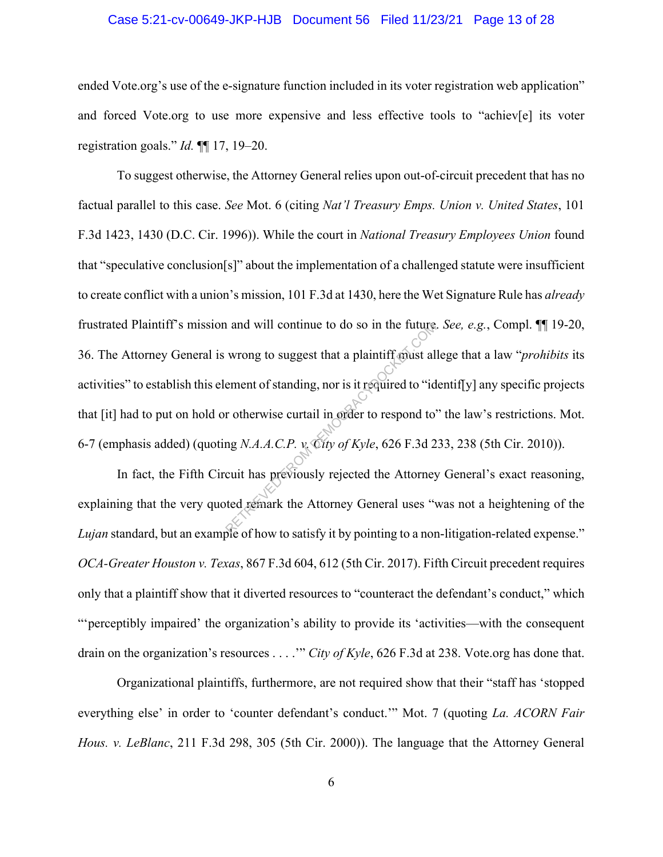#### Case 5:21-cv-00649-JKP-HJB Document 56 Filed 11/23/21 Page 13 of 28

ended Vote.org's use of the e-signature function included in its voter registration web application" and forced Vote.org to use more expensive and less effective tools to "achiev[e] its voter registration goals." *Id.* ¶¶ 17, 19–20.

To suggest otherwise, the Attorney General relies upon out-of-circuit precedent that has no factual parallel to this case. *See* Mot. 6 (citing *Nat'l Treasury Emps. Union v. United States*, 101 F.3d 1423, 1430 (D.C. Cir. 1996)). While the court in *National Treasury Employees Union* found that "speculative conclusion[s]" about the implementation of a challenged statute were insufficient to create conflict with a union's mission, 101 F.3d at 1430, here the Wet Signature Rule has *already*  frustrated Plaintiff's mission and will continue to do so in the future. *See, e.g.*, Compl. ¶¶ 19-20, 36. The Attorney General is wrong to suggest that a plaintiff must allege that a law "*prohibits* its activities" to establish this element of standing, nor is it required to "identif[y] any specific projects that [it] had to put on hold or otherwise curtail in order to respond to" the law's restrictions. Mot. 6-7 (emphasis added) (quoting *N.A.A.C.P. v. City of Kyle*, 626 F.3d 233, 238 (5th Cir. 2010)). and will continue to do so in the future<br>wrong to suggest that a plaintiff must all<br>ement of standing, nor is it required to "id<br>r otherwise curtail in order to respond to"<br>ng  $N.A.A.C.P.$   $v_c$  City of Kyle, 626 F.3d 2<br>cuit h

In fact, the Fifth Circuit has previously rejected the Attorney General's exact reasoning, explaining that the very quoted remark the Attorney General uses "was not a heightening of the *Lujan* standard, but an example of how to satisfy it by pointing to a non-litigation-related expense." *OCA-Greater Houston v. Texas*, 867 F.3d 604, 612 (5th Cir. 2017). Fifth Circuit precedent requires only that a plaintiff show that it diverted resources to "counteract the defendant's conduct," which "'perceptibly impaired' the organization's ability to provide its 'activities—with the consequent drain on the organization's resources . . . .'" *City of Kyle*, 626 F.3d at 238. Vote.org has done that.

Organizational plaintiffs, furthermore, are not required show that their "staff has 'stopped everything else' in order to 'counter defendant's conduct.'" Mot. 7 (quoting *La. ACORN Fair Hous. v. LeBlanc*, 211 F.3d 298, 305 (5th Cir. 2000)). The language that the Attorney General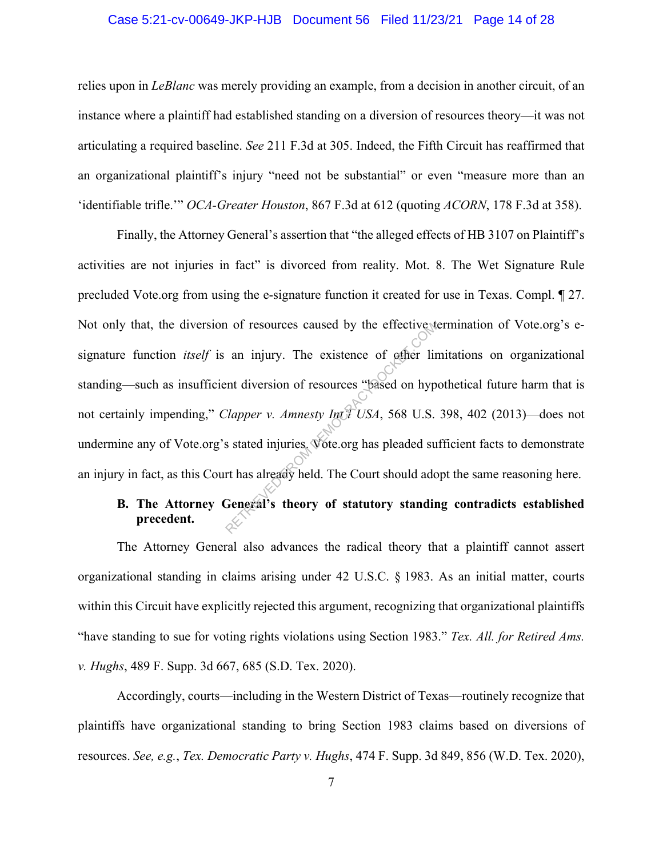#### Case 5:21-cv-00649-JKP-HJB Document 56 Filed 11/23/21 Page 14 of 28

relies upon in *LeBlanc* was merely providing an example, from a decision in another circuit, of an instance where a plaintiff had established standing on a diversion of resources theory—it was not articulating a required baseline. *See* 211 F.3d at 305. Indeed, the Fifth Circuit has reaffirmed that an organizational plaintiff's injury "need not be substantial" or even "measure more than an 'identifiable trifle.'" *OCA-Greater Houston*, 867 F.3d at 612 (quoting *ACORN*, 178 F.3d at 358).

Finally, the Attorney General's assertion that "the alleged effects of HB 3107 on Plaintiff's activities are not injuries in fact" is divorced from reality. Mot. 8. The Wet Signature Rule precluded Vote.org from using the e-signature function it created for use in Texas. Compl. ¶ 27. Not only that, the diversion of resources caused by the effective termination of Vote.org's esignature function *itself* is an injury. The existence of other limitations on organizational standing—such as insufficient diversion of resources "based on hypothetical future harm that is not certainly impending," *Clapper v. Amnesty Int'l USA*, 568 U.S. 398, 402 (2013)—does not undermine any of Vote.org's stated injuries. Vote.org has pleaded sufficient facts to demonstrate an injury in fact, as this Court has already held. The Court should adopt the same reasoning here. an injury. The existence of other liventian injury. The existence of other livent<br>entropy. The existence of other livent<br>entropy. Amnesty Interval USA, 568 U.S.<br>s stated injuries. Vote.org has pleaded surt has already held

### **B. The Attorney General's theory of statutory standing contradicts established precedent.**

The Attorney General also advances the radical theory that a plaintiff cannot assert organizational standing in claims arising under 42 U.S.C. § 1983. As an initial matter, courts within this Circuit have explicitly rejected this argument, recognizing that organizational plaintiffs "have standing to sue for voting rights violations using Section 1983." *Tex. All. for Retired Ams. v. Hughs*, 489 F. Supp. 3d 667, 685 (S.D. Tex. 2020).

Accordingly, courts—including in the Western District of Texas—routinely recognize that plaintiffs have organizational standing to bring Section 1983 claims based on diversions of resources. *See, e.g.*, *Tex. Democratic Party v. Hughs*, 474 F. Supp. 3d 849, 856 (W.D. Tex. 2020),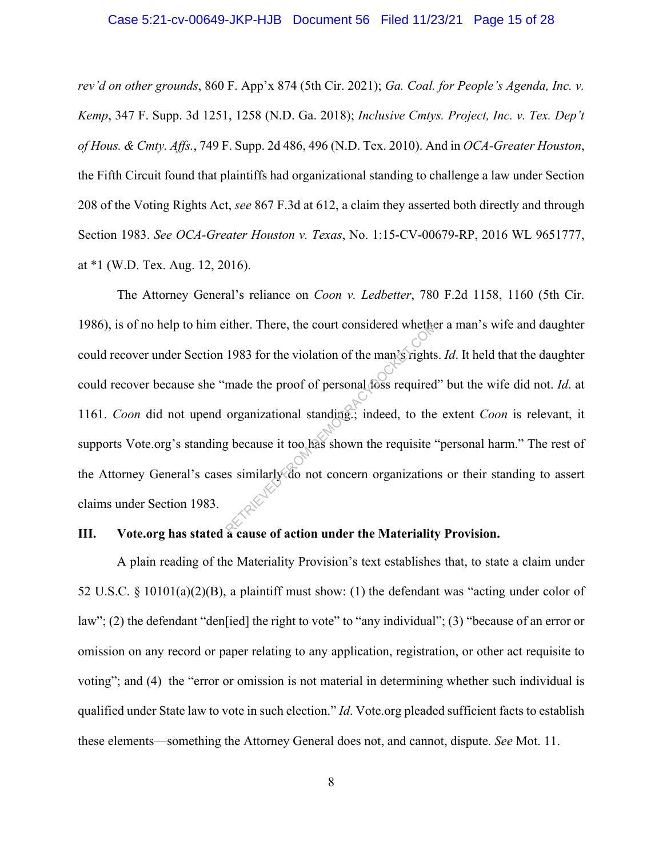#### Case 5:21-cv-00649-JKP-HJB Document 56 Filed 11/23/21 Page 15 of 28

*rev'd on other grounds*, 860 F. App'x 874 (5th Cir. 2021); *Ga. Coal. for People's Agenda, Inc. v. Kemp*, 347 F. Supp. 3d 1251, 1258 (N.D. Ga. 2018); *Inclusive Cmtys. Project, Inc. v. Tex. Dep't of Hous. & Cmty. Affs.*, 749 F. Supp. 2d 486, 496 (N.D. Tex. 2010). And in *OCA-Greater Houston*, the Fifth Circuit found that plaintiffs had organizational standing to challenge a law under Section 208 of the Voting Rights Act, *see* 867 F.3d at 612, a claim they asserted both directly and through Section 1983. *See OCA-Greater Houston v. Texas*, No. 1:15-CV-00679-RP, 2016 WL 9651777, at \*1 (W.D. Tex. Aug. 12, 2016).

The Attorney General's reliance on *Coon v. Ledbetter*, 780 F.2d 1158, 1160 (5th Cir. 1986), is of no help to him either. There, the court considered whether a man's wife and daughter could recover under Section 1983 for the violation of the man's rights. *Id*. It held that the daughter could recover because she "made the proof of personal loss required" but the wife did not. *Id.* at 1161. *Coon* did not upend organizational standing.; indeed, to the extent *Coon* is relevant, it supports Vote.org's standing because it too has shown the requisite "personal harm." The rest of the Attorney General's cases similarly do not concern organizations or their standing to assert claims under Section 1983. There, the court considered whether<br>1983 for the violation of the man's rights<br>made the proof of personal foss required<br>organizational standing.; indeed, to the<br>g because it too has shown the requisite<br>s similarly do not c

### **III.** Vote.org has stated a cause of action under the Materiality Provision.

A plain reading of the Materiality Provision's text establishes that, to state a claim under 52 U.S.C. § 10101(a)(2)(B), a plaintiff must show: (1) the defendant was "acting under color of law"; (2) the defendant "den[ied] the right to vote" to "any individual"; (3) "because of an error or omission on any record or paper relating to any application, registration, or other act requisite to voting"; and (4) the "error or omission is not material in determining whether such individual is qualified under State law to vote in such election." *Id*. Vote.org pleaded sufficient facts to establish these elements—something the Attorney General does not, and cannot, dispute. *See* Mot. 11.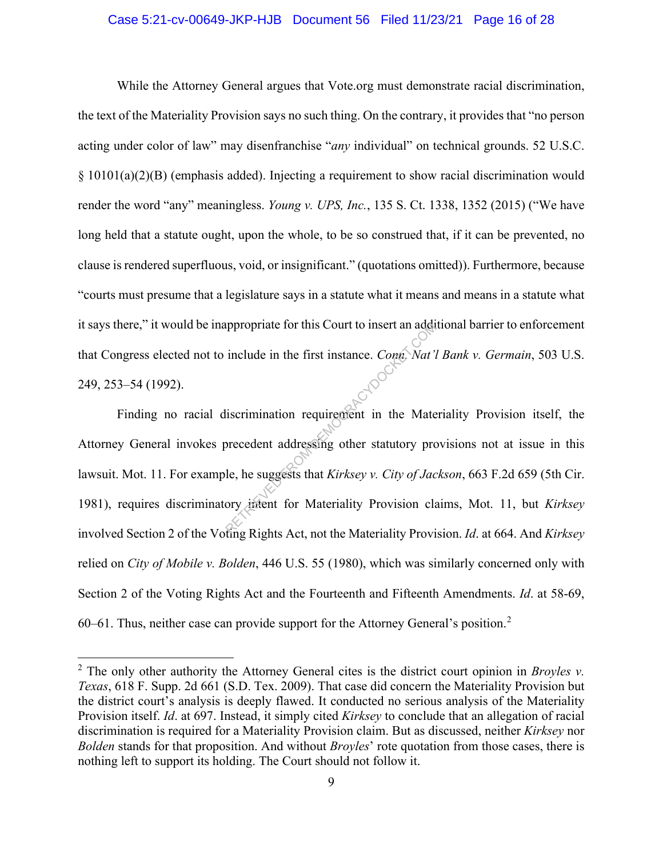#### Case 5:21-cv-00649-JKP-HJB Document 56 Filed 11/23/21 Page 16 of 28

While the Attorney General argues that Vote.org must demonstrate racial discrimination, the text of the Materiality Provision says no such thing. On the contrary, it provides that "no person acting under color of law" may disenfranchise "*any* individual" on technical grounds. 52 U.S.C. § 10101(a)(2)(B) (emphasis added). Injecting a requirement to show racial discrimination would render the word "any" meaningless. *Young v. UPS, Inc.*, 135 S. Ct. 1338, 1352 (2015) ("We have long held that a statute ought, upon the whole, to be so construed that, if it can be prevented, no clause is rendered superfluous, void, or insignificant." (quotations omitted)). Furthermore, because "courts must presume that a legislature says in a statute what it means and means in a statute what it says there," it would be inappropriate for this Court to insert an additional barrier to enforcement that Congress elected not to include in the first instance. *Conn. Nat'l Bank v. Germain*, 503 U.S. 249, 253–54 (1992).

Finding no racial discrimination requirement in the Materiality Provision itself, the Attorney General invokes precedent addressing other statutory provisions not at issue in this lawsuit. Mot. 11. For example, he suggests that *Kirksey v. City of Jackson*, 663 F.2d 659 (5th Cir. 1981), requires discriminatory intent for Materiality Provision claims, Mot. 11, but *Kirksey*  involved Section 2 of the Voting Rights Act, not the Materiality Provision. *Id*. at 664. And *Kirksey*  relied on *City of Mobile v. Bolden*, 446 U.S. 55 (1980), which was similarly concerned only with Section 2 of the Voting Rights Act and the Fourteenth and Fifteenth Amendments. *Id*. at 58-69, 60–61. Thus, neither case can provide support for the Attorney General's position.<sup>2</sup> ppropriate for this Court to insert an additional<br>include in the first instance. Conn. Nat'le<br>liserimination requirement in the Mate<br>orecedent addressing other statutory pro<br>le, he suggests that Kirksey v. City of Jac<br>ory

<sup>2</sup> The only other authority the Attorney General cites is the district court opinion in *Broyles v. Texas*, 618 F. Supp. 2d 661 (S.D. Tex. 2009). That case did concern the Materiality Provision but the district court's analysis is deeply flawed. It conducted no serious analysis of the Materiality Provision itself. *Id*. at 697. Instead, it simply cited *Kirksey* to conclude that an allegation of racial discrimination is required for a Materiality Provision claim. But as discussed, neither *Kirksey* nor *Bolden* stands for that proposition. And without *Broyles*' rote quotation from those cases, there is nothing left to support its holding. The Court should not follow it.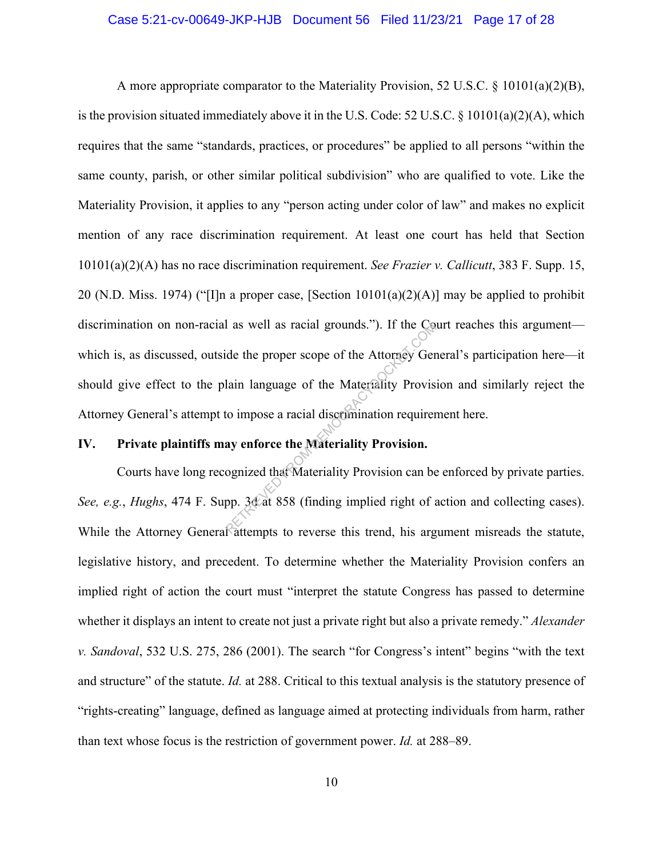#### Case 5:21-cv-00649-JKP-HJB Document 56 Filed 11/23/21 Page 17 of 28

A more appropriate comparator to the Materiality Provision, 52 U.S.C. § 10101(a)(2)(B), is the provision situated immediately above it in the U.S. Code: 52 U.S.C. § 10101(a)(2)(A), which requires that the same "standards, practices, or procedures" be applied to all persons "within the same county, parish, or other similar political subdivision" who are qualified to vote. Like the Materiality Provision, it applies to any "person acting under color of law" and makes no explicit mention of any race discrimination requirement. At least one court has held that Section 10101(a)(2)(A) has no race discrimination requirement. *See Frazier v. Callicutt*, 383 F. Supp. 15, 20 (N.D. Miss. 1974) ("[I]n a proper case, [Section  $10101(a)(2)(A)$ ] may be applied to prohibit discrimination on non-racial as well as racial grounds."). If the Court reaches this argument which is, as discussed, outside the proper scope of the Attorney General's participation here—it should give effect to the plain language of the Materiality Provision and similarly reject the Attorney General's attempt to impose a racial discrimination requirement here. I as well as racial grounds."). If the Compare of the Attorney Germination lain language of the Materiality Provision to impose a racial discrimination requirer ay enforce the Materiality Provision.<br>Solution of the Materia

#### **IV. Private plaintiffs may enforce the Materiality Provision.**

Courts have long recognized that Materiality Provision can be enforced by private parties. *See, e.g.*, *Hughs*, 474 F. Supp. 3d at 858 (finding implied right of action and collecting cases). While the Attorney General attempts to reverse this trend, his argument misreads the statute, legislative history, and precedent. To determine whether the Materiality Provision confers an implied right of action the court must "interpret the statute Congress has passed to determine whether it displays an intent to create not just a private right but also a private remedy." *Alexander v. Sandoval*, 532 U.S. 275, 286 (2001). The search "for Congress's intent" begins "with the text and structure" of the statute. *Id.* at 288. Critical to this textual analysis is the statutory presence of "rights-creating" language, defined as language aimed at protecting individuals from harm, rather than text whose focus is the restriction of government power. *Id.* at 288–89.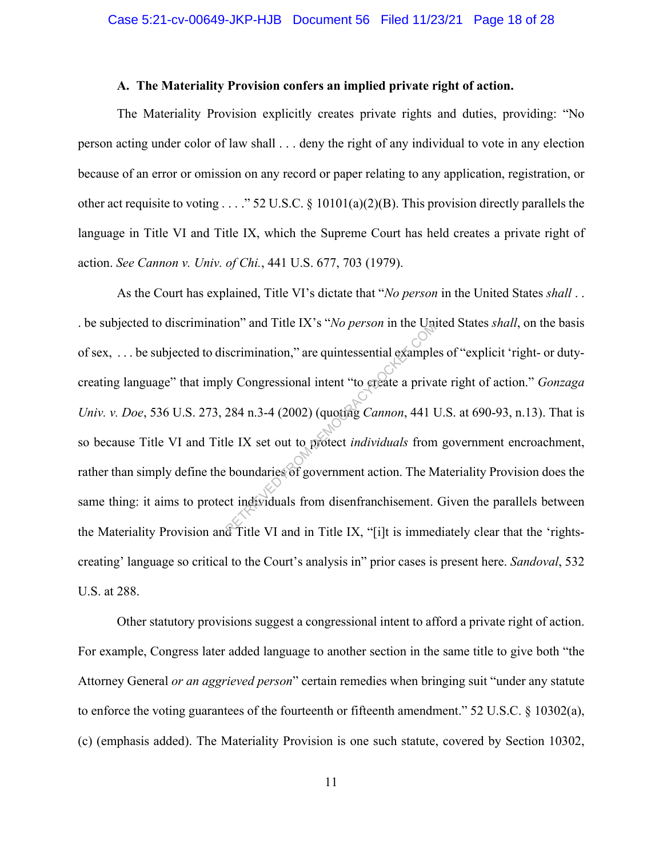#### **A. The Materiality Provision confers an implied private right of action.**

The Materiality Provision explicitly creates private rights and duties, providing: "No person acting under color of law shall . . . deny the right of any individual to vote in any election because of an error or omission on any record or paper relating to any application, registration, or other act requisite to voting . . . ." 52 U.S.C. § 10101(a)(2)(B). This provision directly parallels the language in Title VI and Title IX, which the Supreme Court has held creates a private right of action. *See Cannon v. Univ. of Chi.*, 441 U.S. 677, 703 (1979).

As the Court has explained, Title VI's dictate that "*No person* in the United States *shall* . . . be subjected to discrimination" and Title IX's "*No person* in the United States *shall*, on the basis of sex, . . . be subjected to discrimination," are quintessential examples of "explicit 'right- or dutycreating language" that imply Congressional intent "to create a private right of action." *Gonzaga Univ. v. Doe*, 536 U.S. 273, 284 n.3-4 (2002) (quoting *Cannon*, 441 U.S. at 690-93, n.13). That is so because Title VI and Title IX set out to protect *individuals* from government encroachment, rather than simply define the boundaries of government action. The Materiality Provision does the same thing: it aims to protect individuals from disenfranchisement. Given the parallels between the Materiality Provision and Title VI and in Title IX, "[i]t is immediately clear that the 'rightscreating' language so critical to the Court's analysis in" prior cases is present here. *Sandoval*, 532 U.S. at 288. Scrimination," are quintessential example<br>Scrimination," are quintessential example<br>284 n.3-4 (2002) (quoting *Cannon*, 441 l<br>le IX set out to protect *individuals* from<br>boundaries of government action. The M<br>ct individual

Other statutory provisions suggest a congressional intent to afford a private right of action. For example, Congress later added language to another section in the same title to give both "the Attorney General *or an aggrieved person*" certain remedies when bringing suit "under any statute to enforce the voting guarantees of the fourteenth or fifteenth amendment." 52 U.S.C. § 10302(a), (c) (emphasis added). The Materiality Provision is one such statute, covered by Section 10302,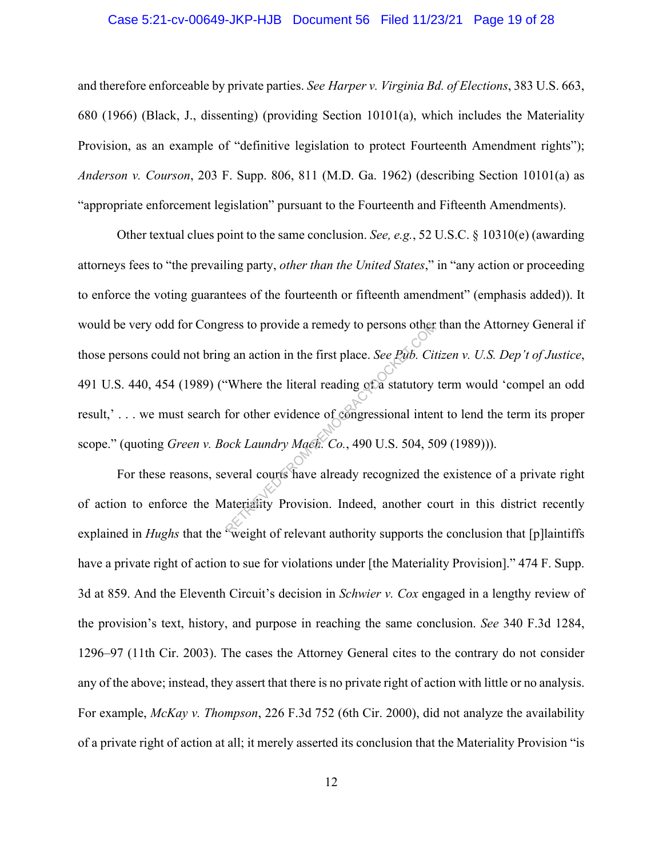#### Case 5:21-cv-00649-JKP-HJB Document 56 Filed 11/23/21 Page 19 of 28

and therefore enforceable by private parties. *See Harper v. Virginia Bd. of Elections*, 383 U.S. 663, 680 (1966) (Black, J., dissenting) (providing Section 10101(a), which includes the Materiality Provision, as an example of "definitive legislation to protect Fourteenth Amendment rights"); *Anderson v. Courson*, 203 F. Supp. 806, 811 (M.D. Ga. 1962) (describing Section 10101(a) as "appropriate enforcement legislation" pursuant to the Fourteenth and Fifteenth Amendments).

Other textual clues point to the same conclusion. *See, e.g.*, 52 U.S.C. § 10310(e) (awarding attorneys fees to "the prevailing party, *other than the United States*," in "any action or proceeding to enforce the voting guarantees of the fourteenth or fifteenth amendment" (emphasis added)). It would be very odd for Congress to provide a remedy to persons other than the Attorney General if those persons could not bring an action in the first place. *See Pub. Citizen v. U.S. Dep't of Justice*, 491 U.S. 440, 454 (1989) ("Where the literal reading of a statutory term would 'compel an odd result,' . . . we must search for other evidence of congressional intent to lend the term its proper scope." (quoting *Green v. Bock Laundry Mach. Co.*, 490 U.S. 504, 509 (1989))). ress to provide a remedy to persons other<br>g an action in the first place. *See Pub. Cit*<br>"Where the literal reading of a statutory<br>for other evidence of congressional inter<br>ock Laundry Mach. Co., 490 U.S. 504, 50<br>weral cou

For these reasons, several courts have already recognized the existence of a private right of action to enforce the Materiality Provision. Indeed, another court in this district recently explained in *Hughs* that the "weight of relevant authority supports the conclusion that [p]laintiffs have a private right of action to sue for violations under [the Materiality Provision]." 474 F. Supp. 3d at 859. And the Eleventh Circuit's decision in *Schwier v. Cox* engaged in a lengthy review of the provision's text, history, and purpose in reaching the same conclusion. *See* 340 F.3d 1284, 1296–97 (11th Cir. 2003). The cases the Attorney General cites to the contrary do not consider any of the above; instead, they assert that there is no private right of action with little or no analysis. For example, *McKay v. Thompson*, 226 F.3d 752 (6th Cir. 2000), did not analyze the availability of a private right of action at all; it merely asserted its conclusion that the Materiality Provision "is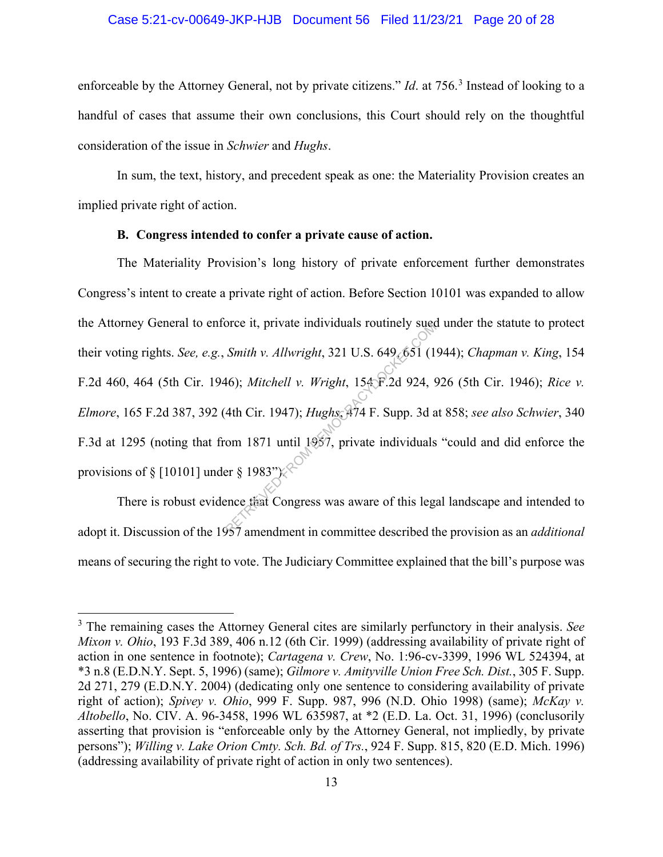#### Case 5:21-cv-00649-JKP-HJB Document 56 Filed 11/23/21 Page 20 of 28

enforceable by the Attorney General, not by private citizens." *Id*. at 756. <sup>3</sup> Instead of looking to a handful of cases that assume their own conclusions, this Court should rely on the thoughtful consideration of the issue in *Schwier* and *Hughs*.

In sum, the text, history, and precedent speak as one: the Materiality Provision creates an implied private right of action.

#### **B. Congress intended to confer a private cause of action.**

The Materiality Provision's long history of private enforcement further demonstrates Congress's intent to create a private right of action. Before Section 10101 was expanded to allow the Attorney General to enforce it, private individuals routinely sued under the statute to protect their voting rights. *See, e.g.*, *Smith v. Allwright*, 321 U.S. 649, 651 (1944); *Chapman v. King*, 154 F.2d 460, 464 (5th Cir. 1946); *Mitchell v. Wright*, 154 F.2d 924, 926 (5th Cir. 1946); *Rice v. Elmore*, 165 F.2d 387, 392 (4th Cir. 1947); *Hughs*, 474 F. Supp. 3d at 858; *see also Schwier*, 340 F.3d at 1295 (noting that from 1871 until 1957, private individuals "could and did enforce the provisions of § [10101] under § 1983") $\&$ Smith v. Allwright, 321 U.S. 649.651 (1<br>46); Mitchell v. Wright, 1548-2d 924, 94th Cir. 1947); Hughs,  $\frac{1}{4}$  T4 F. Supp. 3d a<br>69. Mitchell v. Wright, 1548-2d 924, 94th Cir. 1947); Hughs,  $\frac{1}{4}$  T4 F. Supp. 3d a<br>69.

There is robust evidence that Congress was aware of this legal landscape and intended to adopt it. Discussion of the 1957 amendment in committee described the provision as an *additional*  means of securing the right to vote. The Judiciary Committee explained that the bill's purpose was

<sup>3</sup> The remaining cases the Attorney General cites are similarly perfunctory in their analysis. *See Mixon v. Ohio*, 193 F.3d 389, 406 n.12 (6th Cir. 1999) (addressing availability of private right of action in one sentence in footnote); *Cartagena v. Crew*, No. 1:96-cv-3399, 1996 WL 524394, at \*3 n.8 (E.D.N.Y. Sept. 5, 1996) (same); *Gilmore v. Amityville Union Free Sch. Dist.*, 305 F. Supp. 2d 271, 279 (E.D.N.Y. 2004) (dedicating only one sentence to considering availability of private right of action); *Spivey v. Ohio*, 999 F. Supp. 987, 996 (N.D. Ohio 1998) (same); *McKay v. Altobello*, No. CIV. A. 96-3458, 1996 WL 635987, at \*2 (E.D. La. Oct. 31, 1996) (conclusorily asserting that provision is "enforceable only by the Attorney General, not impliedly, by private persons"); *Willing v. Lake Orion Cmty. Sch. Bd. of Trs.*, 924 F. Supp. 815, 820 (E.D. Mich. 1996) (addressing availability of private right of action in only two sentences).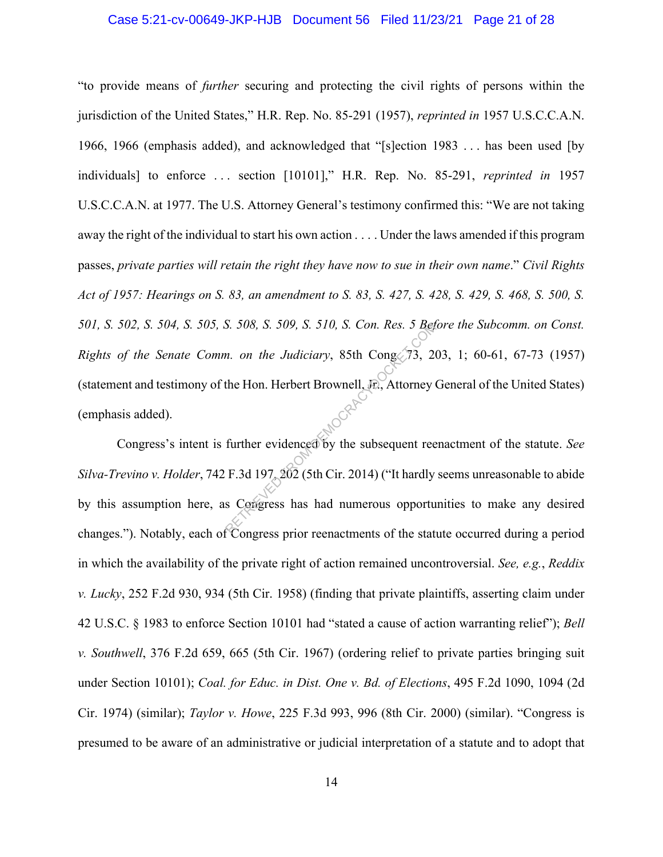#### Case 5:21-cv-00649-JKP-HJB Document 56 Filed 11/23/21 Page 21 of 28

"to provide means of *further* securing and protecting the civil rights of persons within the jurisdiction of the United States," H.R. Rep. No. 85-291 (1957), *reprinted in* 1957 U.S.C.C.A.N. 1966, 1966 (emphasis added), and acknowledged that "[s]ection 1983 . . . has been used [by individuals] to enforce . . . section [10101]," H.R. Rep. No. 85-291, *reprinted in* 1957 U.S.C.C.A.N. at 1977. The U.S. Attorney General's testimony confirmed this: "We are not taking away the right of the individual to start his own action . . . . Under the laws amended if this program passes, *private parties will retain the right they have now to sue in their own name*." *Civil Rights Act of 1957: Hearings on S. 83, an amendment to S. 83, S. 427, S. 428, S. 429, S. 468, S. 500, S. 501, S. 502, S. 504, S. 505, S. 508, S. 509, S. 510, S. Con. Res. 5 Before the Subcomm. on Const. Rights of the Senate Comm. on the Judiciary*, 85th Cong. 73, 203, 1; 60-61, 67-73 (1957) (statement and testimony of the Hon. Herbert Brownell, Jr., Attorney General of the United States) (emphasis added). RETRIEVED FROM DETERMINING THE CONTROL SERVICE THE HOLD HERDEN CONSUMING THE HOLD HERDEN COMPUTER SUPER STANDARY CONSUMING SUPER CONSUMING SUPER CONSUMING SUPER CONSUMING SUPER CONSUMING SUPER CONSUMING SUPER CONSUMING SU

Congress's intent is further evidenced by the subsequent reenactment of the statute. *See Silva-Trevino v. Holder*, 742 F.3d 197, 202 (5th Cir. 2014) ("It hardly seems unreasonable to abide by this assumption here, as Congress has had numerous opportunities to make any desired changes."). Notably, each of Congress prior reenactments of the statute occurred during a period in which the availability of the private right of action remained uncontroversial. *See, e.g.*, *Reddix v. Lucky*, 252 F.2d 930, 934 (5th Cir. 1958) (finding that private plaintiffs, asserting claim under 42 U.S.C. § 1983 to enforce Section 10101 had "stated a cause of action warranting relief"); *Bell v. Southwell*, 376 F.2d 659, 665 (5th Cir. 1967) (ordering relief to private parties bringing suit under Section 10101); *Coal. for Educ. in Dist. One v. Bd. of Elections*, 495 F.2d 1090, 1094 (2d Cir. 1974) (similar); *Taylor v. Howe*, 225 F.3d 993, 996 (8th Cir. 2000) (similar). "Congress is presumed to be aware of an administrative or judicial interpretation of a statute and to adopt that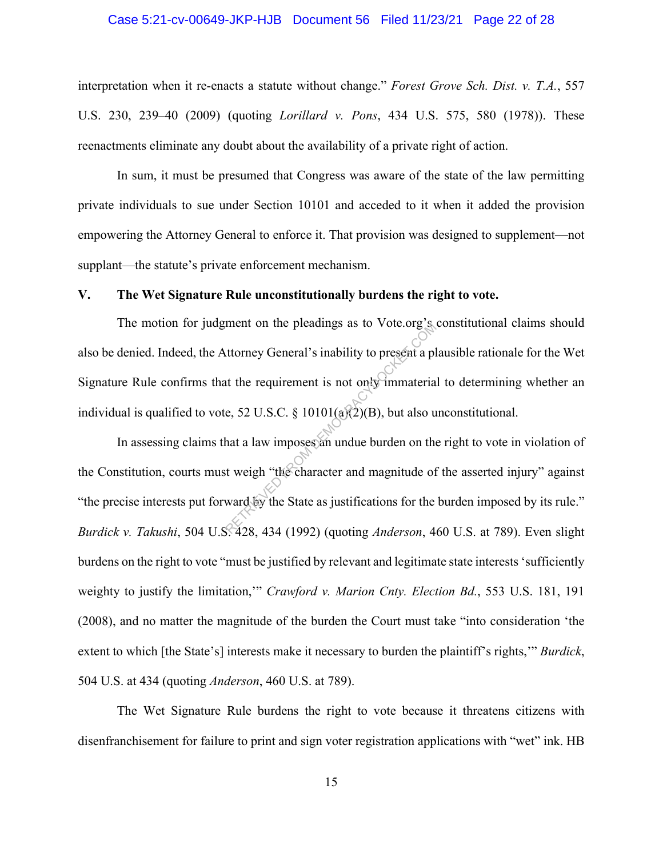#### Case 5:21-cv-00649-JKP-HJB Document 56 Filed 11/23/21 Page 22 of 28

interpretation when it re-enacts a statute without change." *Forest Grove Sch. Dist. v. T.A.*, 557 U.S. 230, 239–40 (2009) (quoting *Lorillard v. Pons*, 434 U.S. 575, 580 (1978)). These reenactments eliminate any doubt about the availability of a private right of action.

In sum, it must be presumed that Congress was aware of the state of the law permitting private individuals to sue under Section 10101 and acceded to it when it added the provision empowering the Attorney General to enforce it. That provision was designed to supplement—not supplant—the statute's private enforcement mechanism.

#### **V. The Wet Signature Rule unconstitutionally burdens the right to vote.**

The motion for judgment on the pleadings as to Vote.org's constitutional claims should also be denied. Indeed, the Attorney General's inability to present a plausible rationale for the Wet Signature Rule confirms that the requirement is not only immaterial to determining whether an individual is qualified to vote, 52 U.S.C. § 10101( $\alpha$ )( $\alpha$ )(B), but also unconstitutional.

In assessing claims that a law imposes an undue burden on the right to vote in violation of the Constitution, courts must weigh "the character and magnitude of the asserted injury" against "the precise interests put forward by the State as justifications for the burden imposed by its rule." *Burdick v. Takushi*, 504 U.S. 428, 434 (1992) (quoting *Anderson*, 460 U.S. at 789). Even slight burdens on the right to vote "must be justified by relevant and legitimate state interests 'sufficiently weighty to justify the limitation,'" *Crawford v. Marion Cnty. Election Bd.*, 553 U.S. 181, 191 (2008), and no matter the magnitude of the burden the Court must take "into consideration 'the extent to which [the State's] interests make it necessary to burden the plaintiff's rights,'" *Burdick*, 504 U.S. at 434 (quoting *Anderson*, 460 U.S. at 789). Then to the preadings as to vote.org strategy.<br>
Internet of the requirement is not only immateria<br>
e, 52 U.S.C. § 10101(a)(2)(B), but also us<br>
that a law imposes an undue burden on the<br>
strategy of the State as justificat

The Wet Signature Rule burdens the right to vote because it threatens citizens with disenfranchisement for failure to print and sign voter registration applications with "wet" ink. HB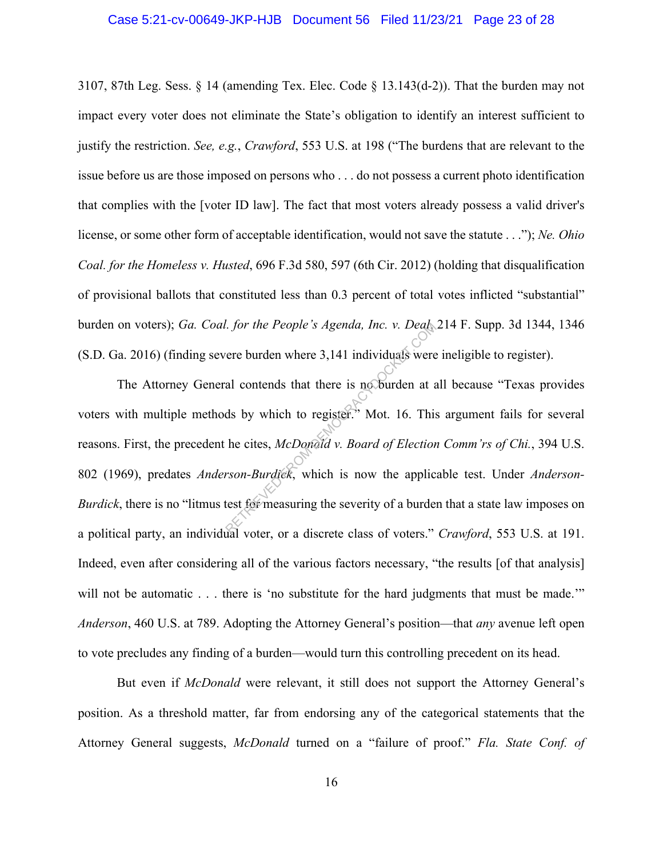#### Case 5:21-cv-00649-JKP-HJB Document 56 Filed 11/23/21 Page 23 of 28

3107, 87th Leg. Sess. § 14 (amending Tex. Elec. Code § 13.143(d-2)). That the burden may not impact every voter does not eliminate the State's obligation to identify an interest sufficient to justify the restriction. *See, e.g.*, *Crawford*, 553 U.S. at 198 ("The burdens that are relevant to the issue before us are those imposed on persons who . . . do not possess a current photo identification that complies with the [voter ID law]. The fact that most voters already possess a valid driver's license, or some other form of acceptable identification, would not save the statute . . ."); *Ne. Ohio Coal. for the Homeless v. Husted*, 696 F.3d 580, 597 (6th Cir. 2012) (holding that disqualification of provisional ballots that constituted less than 0.3 percent of total votes inflicted "substantial" burden on voters); *Ga. Coal. for the People's Agenda, Inc. v. Deal*, 214 F. Supp. 3d 1344, 1346 (S.D. Ga. 2016) (finding severe burden where 3,141 individuals were ineligible to register).

The Attorney General contends that there is no burden at all because "Texas provides voters with multiple methods by which to register." Mot. 16. This argument fails for several reasons. First, the precedent he cites, *McDonald v. Board of Election Comm'rs of Chi.*, 394 U.S. 802 (1969), predates *Anderson-Burdick*, which is now the applicable test. Under *Anderson-Burdick*, there is no "litmus test for measuring the severity of a burden that a state law imposes on a political party, an individual voter, or a discrete class of voters." *Crawford*, 553 U.S. at 191. Indeed, even after considering all of the various factors necessary, "the results [of that analysis] will not be automatic . . . there is 'no substitute for the hard judgments that must be made.'" *Anderson*, 460 U.S. at 789. Adopting the Attorney General's position—that *any* avenue left open to vote precludes any finding of a burden—would turn this controlling precedent on its head. For the People's Agenda, Inc. v. Deal.<br>
ere burden where 3,141 individuals were<br>
al contends that there is no burden at a<br>
ds by which to register." Mot. 16. This<br>
he cites, McDonald v. Board of Election<br>
rson-Burdick, wh

But even if *McDonald* were relevant, it still does not support the Attorney General's position. As a threshold matter, far from endorsing any of the categorical statements that the Attorney General suggests, *McDonald* turned on a "failure of proof." *Fla. State Conf. of*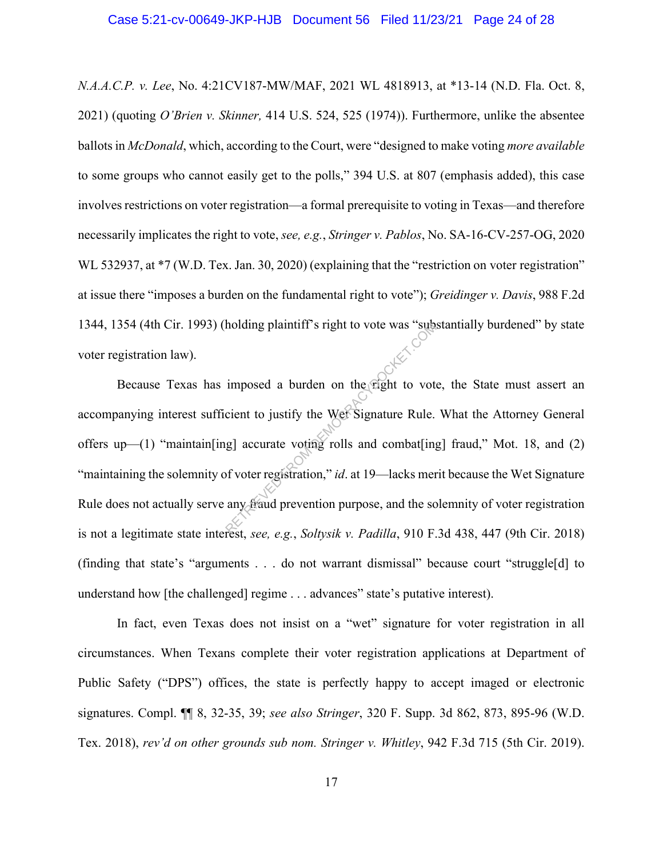*N.A.A.C.P. v. Lee*, No. 4:21CV187-MW/MAF, 2021 WL 4818913, at \*13-14 (N.D. Fla. Oct. 8, 2021) (quoting *O'Brien v. Skinner,* 414 U.S. 524, 525 (1974)). Furthermore, unlike the absentee ballots in *McDonald*, which, according to the Court, were "designed to make voting *more available*  to some groups who cannot easily get to the polls," 394 U.S. at 807 (emphasis added), this case involves restrictions on voter registration—a formal prerequisite to voting in Texas—and therefore necessarily implicates the right to vote, *see, e.g.*, *Stringer v. Pablos*, No. SA-16-CV-257-OG, 2020 WL 532937, at  $*7$  (W.D. Tex. Jan. 30, 2020) (explaining that the "restriction on voter registration" at issue there "imposes a burden on the fundamental right to vote"); *Greidinger v. Davis*, 988 F.2d 1344, 1354 (4th Cir. 1993) (holding plaintiff's right to vote was "substantially burdened" by state voter registration law).

Because Texas has imposed a burden on the right to vote, the State must assert an accompanying interest sufficient to justify the Wet Signature Rule. What the Attorney General offers up—(1) "maintain[ing] accurate voting rolls and combat[ing] fraud," Mot. 18, and (2) "maintaining the solemnity of voter registration," *id*. at 19—lacks merit because the Wet Signature Rule does not actually serve any fraud prevention purpose, and the solemnity of voter registration is not a legitimate state interest, *see, e.g.*, *Soltysik v. Padilla*, 910 F.3d 438, 447 (9th Cir. 2018) (finding that state's "arguments . . . do not warrant dismissal" because court "struggle[d] to understand how [the challenged] regime . . . advances" state's putative interest). holding plaintiff's right to vote was "sub-<br>
imposed a burden on the right to vot-<br>
cient to justify the Wet Signature Rule.<br>
g] accurate voting rolls and combat[ing-<br>
of voter registration," *id.* at 19—lacks mer<br>
any fra

In fact, even Texas does not insist on a "wet" signature for voter registration in all circumstances. When Texans complete their voter registration applications at Department of Public Safety ("DPS") offices, the state is perfectly happy to accept imaged or electronic signatures. Compl. ¶¶ 8, 32-35, 39; *see also Stringer*, 320 F. Supp. 3d 862, 873, 895-96 (W.D. Tex. 2018), *rev'd on other grounds sub nom. Stringer v. Whitley*, 942 F.3d 715 (5th Cir. 2019).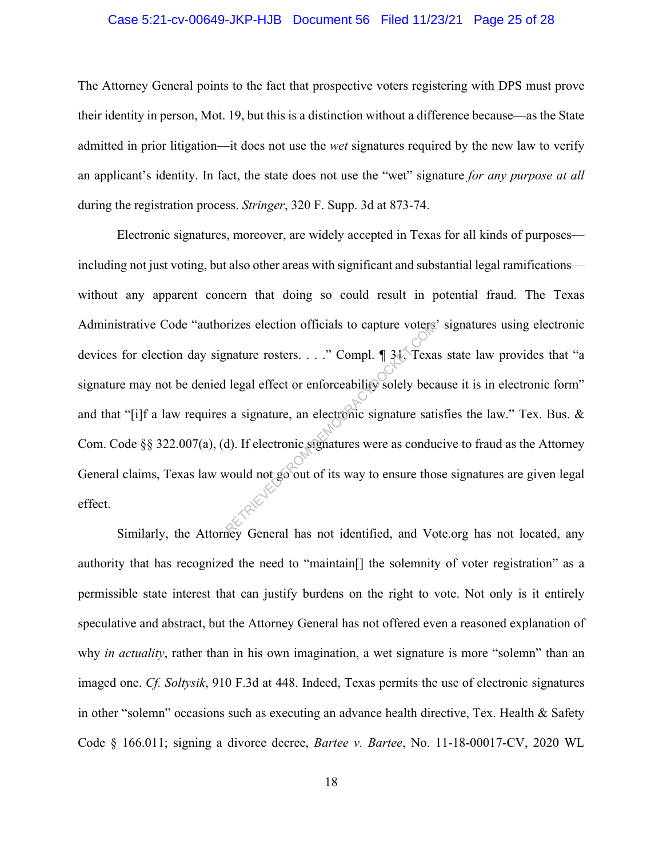#### Case 5:21-cv-00649-JKP-HJB Document 56 Filed 11/23/21 Page 25 of 28

The Attorney General points to the fact that prospective voters registering with DPS must prove their identity in person, Mot. 19, but this is a distinction without a difference because—as the State admitted in prior litigation—it does not use the *wet* signatures required by the new law to verify an applicant's identity. In fact, the state does not use the "wet" signature *for any purpose at all* during the registration process. *Stringer*, 320 F. Supp. 3d at 873-74.

Electronic signatures, moreover, are widely accepted in Texas for all kinds of purposes including not just voting, but also other areas with significant and substantial legal ramifications without any apparent concern that doing so could result in potential fraud. The Texas Administrative Code "authorizes election officials to capture voters' signatures using electronic devices for election day signature rosters. . . ." Compl. ¶ 31. Texas state law provides that "a signature may not be denied legal effect or enforceability solely because it is in electronic form" and that "[i]f a law requires a signature, an electronic signature satisfies the law." Tex. Bus. & Com. Code §§ 322.007(a), (d). If electronic signatures were as conducive to fraud as the Attorney General claims, Texas law would not go out of its way to ensure those signatures are given legal effect. rizes election officials to capture voters<br>
mature rosters...." Compl. 131. Texa<br>
legal effect or enforceability solely beca<br>
a signature, an electronic signature sati<br>
d). If electronic signatures were as condu<br>
would not

Similarly, the Attorney General has not identified, and Vote.org has not located, any authority that has recognized the need to "maintain[] the solemnity of voter registration" as a permissible state interest that can justify burdens on the right to vote. Not only is it entirely speculative and abstract, but the Attorney General has not offered even a reasoned explanation of why *in actuality*, rather than in his own imagination, a wet signature is more "solemn" than an imaged one. *Cf. Soltysik*, 910 F.3d at 448. Indeed, Texas permits the use of electronic signatures in other "solemn" occasions such as executing an advance health directive, Tex. Health & Safety Code § 166.011; signing a divorce decree, *Bartee v. Bartee*, No. 11-18-00017-CV, 2020 WL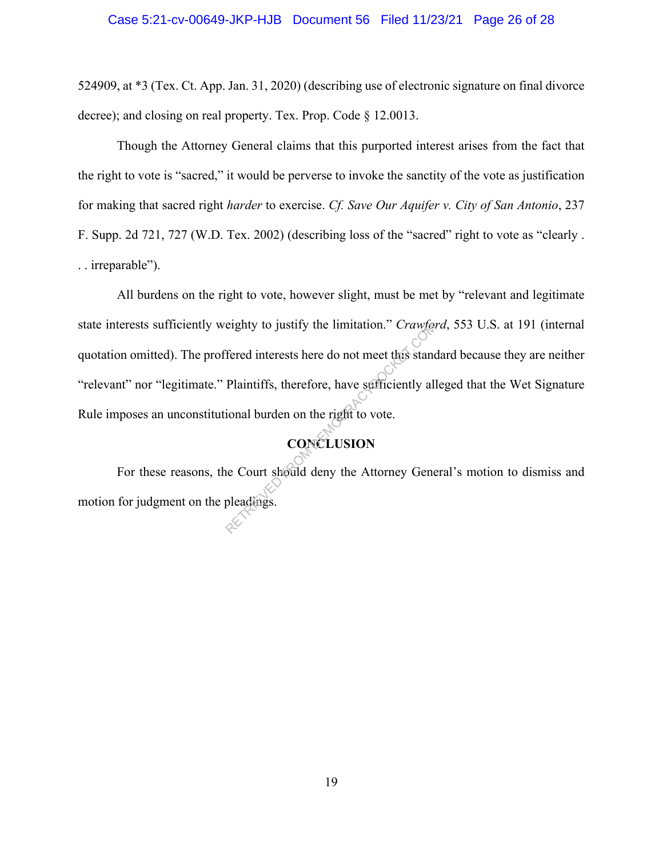#### Case 5:21-cv-00649-JKP-HJB Document 56 Filed 11/23/21 Page 26 of 28

524909, at \*3 (Tex. Ct. App. Jan. 31, 2020) (describing use of electronic signature on final divorce decree); and closing on real property. Tex. Prop. Code § 12.0013.

Though the Attorney General claims that this purported interest arises from the fact that the right to vote is "sacred," it would be perverse to invoke the sanctity of the vote as justification for making that sacred right *harder* to exercise. *Cf. Save Our Aquifer v. City of San Antonio*, 237 F. Supp. 2d 721, 727 (W.D. Tex. 2002) (describing loss of the "sacred" right to vote as "clearly . . . irreparable").

All burdens on the right to vote, however slight, must be met by "relevant and legitimate state interests sufficiently weighty to justify the limitation." *Crawford*, 553 U.S. at 191 (internal quotation omitted). The proffered interests here do not meet this standard because they are neither "relevant" nor "legitimate." Plaintiffs, therefore, have sufficiently alleged that the Wet Signature Rule imposes an unconstitutional burden on the right to vote. eighty to justify the limitation." Crawter<br>
fered interests here do not meet this stand<br>
Plaintiffs, therefore, have sufficiently all<br>
ional burden on the right to vote.<br>
CONCLUSION<br>
ne Court should deny the Attorney Gener

## **CONCLUSION**

For these reasons, the Court should deny the Attorney General's motion to dismiss and motion for judgment on the pleadings.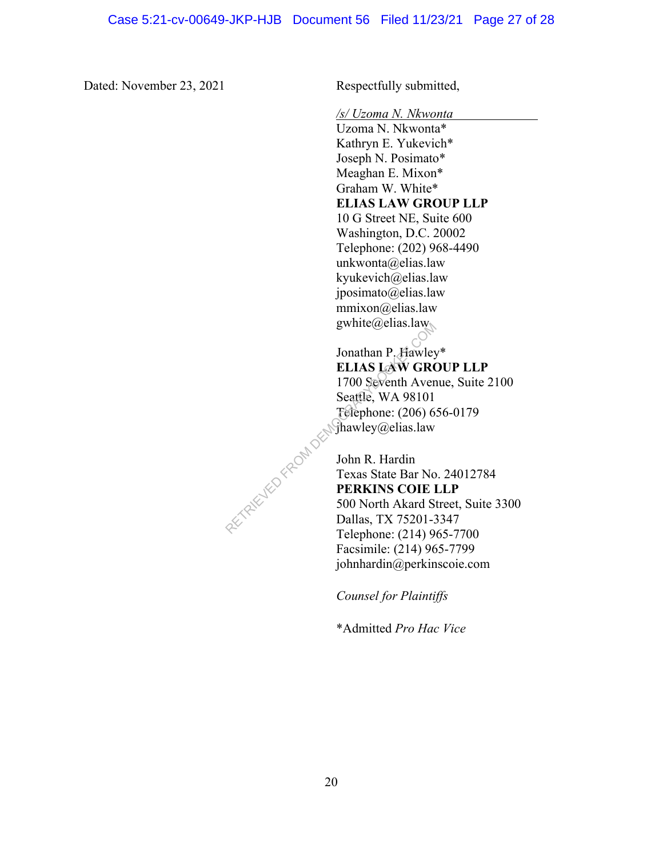Dated: November 23, 2021 Respectfully submitted,

*/s/ Uzoma N. Nkwonta* 

Uzoma N. Nkwonta\* Kathryn E. Yukevich\* Joseph N. Posimato\* Meaghan E. Mixon\* Graham W. White\* **ELIAS LAW GROUP LLP** 10 G Street NE, Suite 600 Washington, D.C. 20002 Telephone: (202) 968-4490 unkwonta@elias.law kyukevich@elias.law jposimato@elias.law mmixon@elias.law gwhite@elias.law

Jonathan P. Hawley\* **ELIAS LAW GROUP LLP** 1700 Seventh Avenue, Suite 2100 Seattle, WA 98101 Telephone: (206) 656-0179 jhawley@elias.law gwinte@enas.raw<br>
Jonathan P. Hawley<br>
ELIAS LAW GRO<br>
1700 Seventh Aven<br>
Seattle, WA 98101<br>
Ferephone: (206) 6.<br>
Shawley@elias.law<br>
John R. Hardin<br>
Texas State Bar No<br>
PERKINS COIE I<br>
500 North Akard Si<br>
Dallas, TX 75201-3<br>

John R. Hardin Texas State Bar No. 24012784 **PERKINS COIE LLP** 500 North Akard Street, Suite 3300 Dallas, TX 75201-3347 Telephone: (214) 965-7700 Facsimile: (214) 965-7799 johnhardin@perkinscoie.com

*Counsel for Plaintiffs*

\*Admitted *Pro Hac Vice*